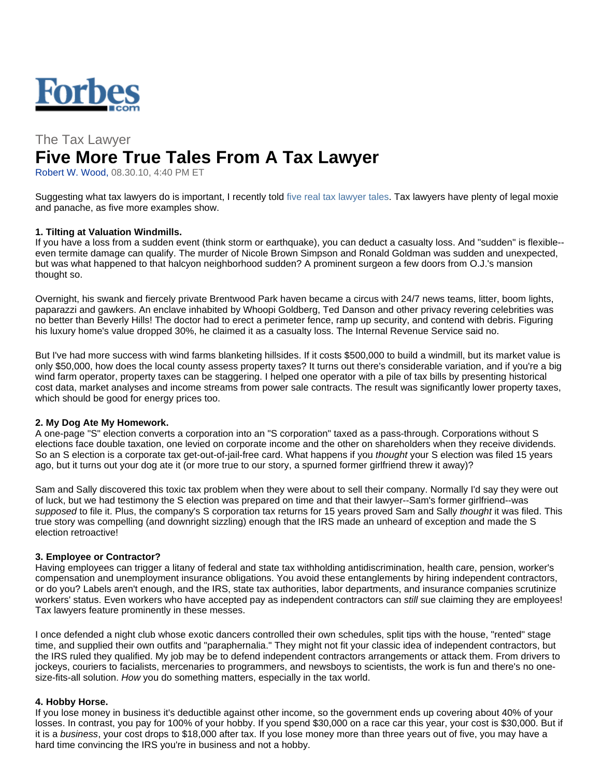

# The Tax Lawyer **Five More True Tales From A Tax Lawyer**

Robert W. Wood, 08.30.10, 4:40 PM ET

Suggesting what tax lawyers do is important, I recently told five real tax lawyer tales. Tax lawyers have plenty of legal moxie and panache, as five more examples show.

## **1. Tilting at Valuation Windmills.**

If you have a loss from a sudden event (think storm or earthquake), you can deduct a casualty loss. And "sudden" is flexible- even termite damage can qualify. The murder of Nicole Brown Simpson and Ronald Goldman was sudden and unexpected, but was what happened to that halcyon neighborhood sudden? A prominent surgeon a few doors from O.J.'s mansion thought so.

Overnight, his swank and fiercely private Brentwood Park haven became a circus with 24/7 news teams, litter, boom lights, paparazzi and gawkers. An enclave inhabited by Whoopi Goldberg, Ted Danson and other privacy revering celebrities was no better than Beverly Hills! The doctor had to erect a perimeter fence, ramp up security, and contend with debris. Figuring his luxury home's value dropped 30%, he claimed it as a casualty loss. The Internal Revenue Service said no.

But I've had more success with wind farms blanketing hillsides. If it costs \$500,000 to build a windmill, but its market value is only \$50,000, how does the local county assess property taxes? It turns out there's considerable variation, and if you're a big wind farm operator, property taxes can be staggering. I helped one operator with a pile of tax bills by presenting historical cost data, market analyses and income streams from power sale contracts. The result was significantly lower property taxes, which should be good for energy prices too.

#### **2. My Dog Ate My Homework.**

A one-page "S" election converts a corporation into an "S corporation" taxed as a pass-through. Corporations without S elections face double taxation, one levied on corporate income and the other on shareholders when they receive dividends. So an S election is a corporate tax get-out-of-jail-free card. What happens if you *thought* your S election was filed 15 years ago, but it turns out your dog ate it (or more true to our story, a spurned former girlfriend threw it away)?

Sam and Sally discovered this toxic tax problem when they were about to sell their company. Normally I'd say they were out of luck, but we had testimony the S election was prepared on time and that their lawyer--Sam's former girlfriend--was *supposed* to file it. Plus, the company's S corporation tax returns for 15 years proved Sam and Sally *thought* it was filed. This true story was compelling (and downright sizzling) enough that the IRS made an unheard of exception and made the S election retroactive!

#### **3. Employee or Contractor?**

Having employees can trigger a litany of federal and state tax withholding antidiscrimination, health care, pension, worker's compensation and unemployment insurance obligations. You avoid these entanglements by hiring independent contractors, or do you? Labels aren't enough, and the IRS, state tax authorities, labor departments, and insurance companies scrutinize workers' status. Even workers who have accepted pay as independent contractors can *still* sue claiming they are employees! Tax lawyers feature prominently in these messes.

I once defended a night club whose exotic dancers controlled their own schedules, split tips with the house, "rented" stage time, and supplied their own outfits and "paraphernalia." They might not fit your classic idea of independent contractors, but the IRS ruled they qualified. My job may be to defend independent contractors arrangements or attack them. From drivers to jockeys, couriers to facialists, mercenaries to programmers, and newsboys to scientists, the work is fun and there's no onesize-fits-all solution. *How* you do something matters, especially in the tax world.

#### **4. Hobby Horse.**

If you lose money in business it's deductible against other income, so the government ends up covering about 40% of your losses. In contrast, you pay for 100% of your hobby. If you spend \$30,000 on a race car this year, your cost is \$30,000. But if it is a *business*, your cost drops to \$18,000 after tax. If you lose money more than three years out of five, you may have a hard time convincing the IRS you're in business and not a hobby.